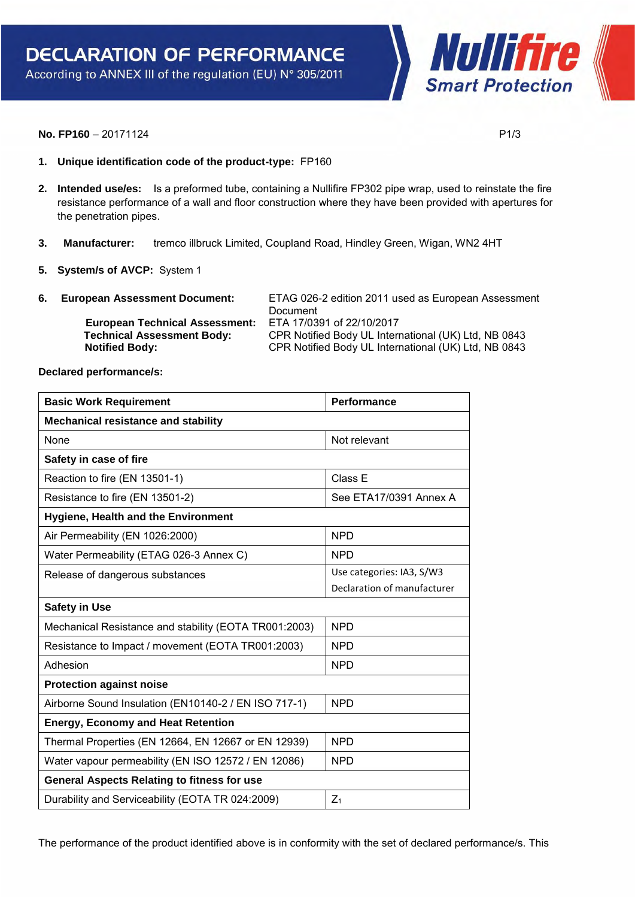Nullifire **Smart Protection** 

## **No. FP160** – 20171124 **P1/3**

- **1. Unique identification code of the product-type:** FP160
- **2. Intended use/es:** Is a preformed tube, containing a Nullifire FP302 pipe wrap, used to reinstate the fire resistance performance of a wall and floor construction where they have been provided with apertures for the penetration pipes.
- **3. Manufacturer:** tremco illbruck Limited, Coupland Road, Hindley Green, Wigan, WN2 4HT
- **5. System/s of AVCP:** System 1
- **6. European Assessment Document:** ETAG 026-2 edition 2011 used as European Assessment Document  **European Technical Assessment:** ETA 17/0391 of 22/10/2017 **Technical Assessment Body:** CPR Notified Body UL International (UK) Ltd, NB 0843<br> **Notified Body:** CPR Notified Body UL International (UK) Ltd, NB 0843  **Notified Body:** CPR Notified Body UL International (UK) Ltd, NB 0843

**Declared performance/s:** 

| <b>Basic Work Requirement</b>                         | Performance                 |  |
|-------------------------------------------------------|-----------------------------|--|
| <b>Mechanical resistance and stability</b>            |                             |  |
| None                                                  | Not relevant                |  |
| Safety in case of fire                                |                             |  |
| Reaction to fire (EN 13501-1)                         | Class E                     |  |
| Resistance to fire (EN 13501-2)                       | See ETA17/0391 Annex A      |  |
| <b>Hygiene, Health and the Environment</b>            |                             |  |
| Air Permeability (EN 1026:2000)                       | <b>NPD</b>                  |  |
| Water Permeability (ETAG 026-3 Annex C)               | <b>NPD</b>                  |  |
| Release of dangerous substances                       | Use categories: IA3, S/W3   |  |
|                                                       | Declaration of manufacturer |  |
| <b>Safety in Use</b>                                  |                             |  |
| Mechanical Resistance and stability (EOTA TR001:2003) | <b>NPD</b>                  |  |
| Resistance to Impact / movement (EOTA TR001:2003)     | <b>NPD</b>                  |  |
| Adhesion                                              | <b>NPD</b>                  |  |
| <b>Protection against noise</b>                       |                             |  |
| Airborne Sound Insulation (EN10140-2 / EN ISO 717-1)  | <b>NPD</b>                  |  |
| <b>Energy, Economy and Heat Retention</b>             |                             |  |
| Thermal Properties (EN 12664, EN 12667 or EN 12939)   | <b>NPD</b>                  |  |
| Water vapour permeability (EN ISO 12572 / EN 12086)   | <b>NPD</b>                  |  |
| <b>General Aspects Relating to fitness for use</b>    |                             |  |
| Durability and Serviceability (EOTA TR 024:2009)      | $Z_1$                       |  |

The performance of the product identified above is in conformity with the set of declared performance/s. This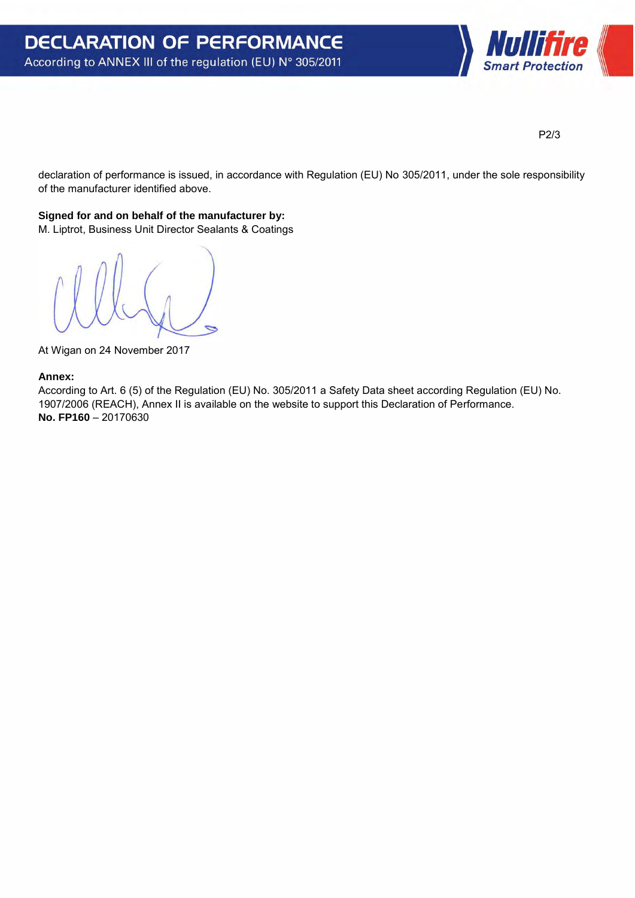

P2/3

declaration of performance is issued, in accordance with Regulation (EU) No 305/2011, under the sole responsibility of the manufacturer identified above.

## **Signed for and on behalf of the manufacturer by:**

M. Liptrot, Business Unit Director Sealants & Coatings

At Wigan on 24 November 2017

## **Annex:**

According to Art. 6 (5) of the Regulation (EU) No. 305/2011 a Safety Data sheet according Regulation (EU) No. 1907/2006 (REACH), Annex II is available on the website to support this Declaration of Performance. **No. FP160** – 20170630